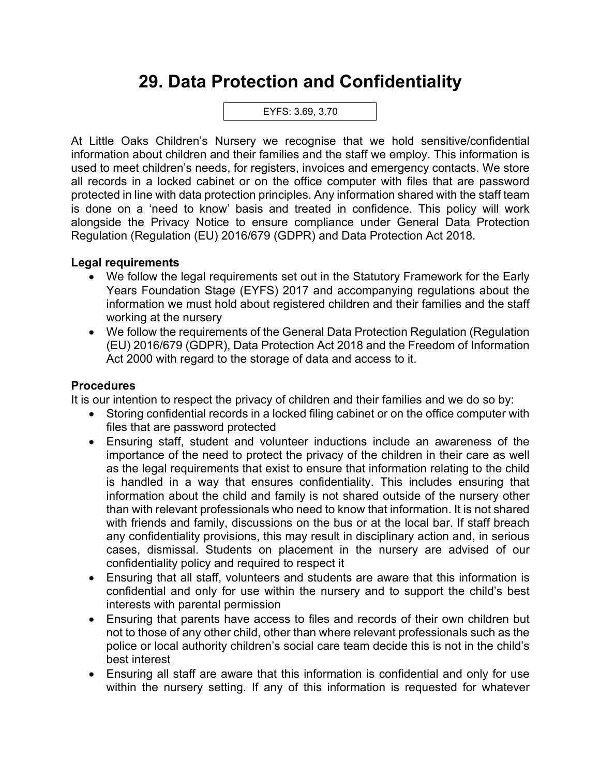# **29. Data Protection and Confidentiality**

EYFS: 3.69, 3.70

At Little Oaks Children's Nursery we recognise that we hold sensitive/confidential information about children and their families and the staff we employ. This information is used to meet children's needs, for registers, invoices and emergency contacts. We store all records in a locked cabinet or on the office computer with files that are password protected in line with data protection principles. Any information shared with the staff team is done on a 'need to know' basis and treated in confidence. This policy will work alongside the Privacy Notice to ensure compliance under General Data Protection Regulation (Regulation (EU) 2016/679 (GDPR) and Data Protection Act 2018.

#### **Legal requirements**

- We follow the legal requirements set out in the Statutory Framework for the Early Years Foundation Stage (EYFS) 2017 and accompanying regulations about the information we must hold about registered children and their families and the staff working at the nursery
- We follow the requirements of the General Data Protection Regulation (Regulation (EU) 2016/679 (GDPR), Data Protection Act 2018 and the Freedom of Information Act 2000 with regard to the storage of data and access to it.

### **Procedures**

It is our intention to respect the privacy of children and their families and we do so by:

- Storing confidential records in a locked filing cabinet or on the office computer with files that are password protected
- Ensuring staff, student and volunteer inductions include an awareness of the importance of the need to protect the privacy of the children in their care as well as the legal requirements that exist to ensure that information relating to the child is handled in a way that ensures confidentiality. This includes ensuring that information about the child and family is not shared outside of the nursery other than with relevant professionals who need to know that information. It is not shared with friends and family, discussions on the bus or at the local bar. If staff breach any confidentiality provisions, this may result in disciplinary action and, in serious cases, dismissal. Students on placement in the nursery are advised of our confidentiality policy and required to respect it
- Ensuring that all staff, volunteers and students are aware that this information is confidential and only for use within the nursery and to support the child's best interests with parental permission
- Ensuring that parents have access to files and records of their own children but not to those of any other child, other than where relevant professionals such as the police or local authority children's social care team decide this is not in the child's best interest
- Ensuring all staff are aware that this information is confidential and only for use within the nursery setting. If any of this information is requested for whatever